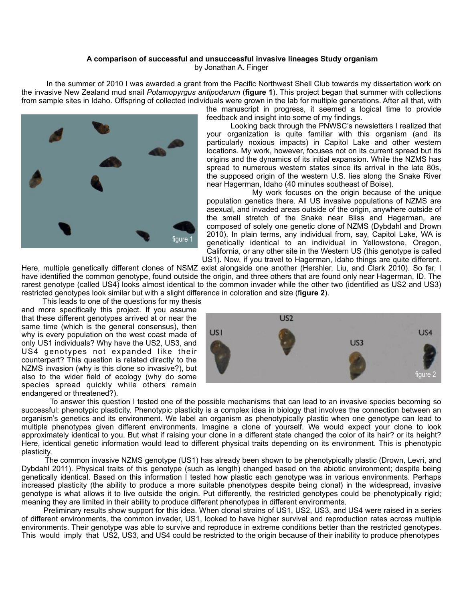## **A comparison of successful and unsuccessful invasive lineages Study organism**

by Jonathan A. Finger

 In the summer of 2010 I was awarded a grant from the Pacific Northwest Shell Club towards my dissertation work on the invasive New Zealand mud snail *Potamopyrgus antipodarum* (**figure 1**). This project began that summer with collections from sample sites in Idaho. Offspring of collected individuals were grown in the lab for multiple generations. After all that, with



the manuscript in progress, it seemed a logical time to provide feedback and insight into some of my findings.

 Looking back through the PNWSC's newsletters I realized that your organization is quite familiar with this organism (and its particularly noxious impacts) in Capitol Lake and other western locations. My work, however, focuses not on its current spread but its origins and the dynamics of its initial expansion. While the NZMS has spread to numerous western states since its arrival in the late 80s, the supposed origin of the western U.S. lies along the Snake River near Hagerman, Idaho (40 minutes southeast of Boise).

 My work focuses on the origin because of the unique population genetics there. All US invasive populations of NZMS are asexual, and invaded areas outside of the origin, anywhere outside of the small stretch of the Snake near Bliss and Hagerman, are composed of solely one genetic clone of NZMS (Dybdahl and Drown 2010). In plain terms, any individual from, say, Capitol Lake, WA is genetically identical to an individual in Yellowstone, Oregon, California, or any other site in the Western US (this genotype is called US1). Now, if you travel to Hagerman, Idaho things are quite different.

Here, multiple genetically different clones of NSMZ exist alongside one another (Hershler, Liu, and Clark 2010). So far, I have identified the common genotype, found outside the origin, and three others that are found only near Hagerman, ID. The rarest genotype (called US4) looks almost identical to the common invader while the other two (identified as US2 and US3) restricted genotypes look similar but with a slight difference in coloration and size (f**igure 2**).

 This leads to one of the questions for my thesis and more specifically this project. If you assume that these different genotypes arrived at or near the same time (which is the general consensus), then why is every population on the west coast made of only US1 individuals? Why have the US2, US3, and US4 genotypes not expanded like their counterpart? This question is related directly to the NZMS invasion (why is this clone so invasive?), but also to the wider field of ecology (why do some species spread quickly while others remain endangered or threatened?).



 To answer this question I tested one of the possible mechanisms that can lead to an invasive species becoming so successful: phenotypic plasticity. Phenotypic plasticity is a complex idea in biology that involves the connection between an organism's genetics and its environment. We label an organism as phenotypically plastic when one genotype can lead to multiple phenotypes given different environments. Imagine a clone of yourself. We would expect your clone to look approximately identical to you. But what if raising your clone in a different state changed the color of its hair? or its height? Here, identical genetic information would lead to different physical traits depending on its environment. This is phenotypic plasticity.

 The common invasive NZMS genotype (US1) has already been shown to be phenotypically plastic (Drown, Levri, and Dybdahl 2011). Physical traits of this genotype (such as length) changed based on the abiotic environment; despite being genetically identical. Based on this information I tested how plastic each genotype was in various environments. Perhaps increased plasticity (the ability to produce a more suitable phenotypes despite being clonal) in the widespread, invasive genotype is what allows it to live outside the origin. Put differently, the restricted genotypes could be phenotypically rigid; meaning they are limited in their ability to produce different phenotypes in different environments.

 Preliminary results show support for this idea. When clonal strains of US1, US2, US3, and US4 were raised in a series of different environments, the common invader, US1, looked to have higher survival and reproduction rates across multiple environments. Their genotype was able to survive and reproduce in extreme conditions better than the restricted genotypes. This would imply that US2, US3, and US4 could be restricted to the origin because of their inability to produce phenotypes